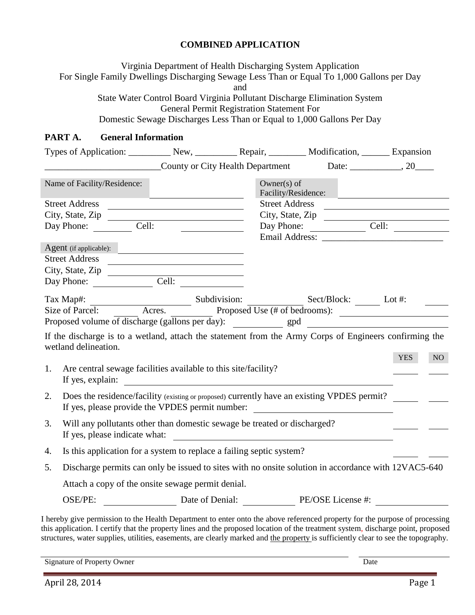## **COMBINED APPLICATION**

Virginia Department of Health Discharging System Application For Single Family Dwellings Discharging Sewage Less Than or Equal To 1,000 Gallons per Day and State Water Control Board Virginia Pollutant Discharge Elimination System General Permit Registration Statement For Domestic Sewage Discharges Less Than or Equal to 1,000 Gallons Per Day

## **PART A. General Information**

|    |                                                                                                     |                                                                                                                      | Types of Application: New, New, Repair, Nepair, Nodification, Next, Expansion                                                                                                                                                                                   |                  |                         |  |
|----|-----------------------------------------------------------------------------------------------------|----------------------------------------------------------------------------------------------------------------------|-----------------------------------------------------------------------------------------------------------------------------------------------------------------------------------------------------------------------------------------------------------------|------------------|-------------------------|--|
|    |                                                                                                     |                                                                                                                      | County or City Health Department                                                                                                                                                                                                                                |                  |                         |  |
|    | Name of Facility/Residence:                                                                         | <u> 1989 - Johann Barn, mars eta bat erroman erroman erroman erroman erroman erroman erroman erroman erroman err</u> | Owner(s) of<br>Facility/Residence:                                                                                                                                                                                                                              |                  |                         |  |
|    | Street Address                                                                                      |                                                                                                                      |                                                                                                                                                                                                                                                                 | Street Address   |                         |  |
|    | City, State, Zip                                                                                    |                                                                                                                      |                                                                                                                                                                                                                                                                 | City, State, Zip |                         |  |
|    | Day Phone: Cell:                                                                                    |                                                                                                                      |                                                                                                                                                                                                                                                                 |                  | Day Phone: <u>Cell:</u> |  |
|    |                                                                                                     |                                                                                                                      |                                                                                                                                                                                                                                                                 |                  |                         |  |
|    | Agent (if applicable):                                                                              |                                                                                                                      |                                                                                                                                                                                                                                                                 |                  |                         |  |
|    | Street Address                                                                                      |                                                                                                                      |                                                                                                                                                                                                                                                                 |                  |                         |  |
|    |                                                                                                     |                                                                                                                      |                                                                                                                                                                                                                                                                 |                  |                         |  |
|    |                                                                                                     |                                                                                                                      |                                                                                                                                                                                                                                                                 |                  |                         |  |
|    |                                                                                                     |                                                                                                                      | Tax Map#:<br>Size of Parcel: Acres. Subdivision: Sect/Block: Let#: Lot#:                                                                                                                                                                                        |                  |                         |  |
|    |                                                                                                     |                                                                                                                      |                                                                                                                                                                                                                                                                 |                  |                         |  |
|    |                                                                                                     |                                                                                                                      |                                                                                                                                                                                                                                                                 |                  |                         |  |
|    |                                                                                                     |                                                                                                                      | If the discharge is to a wetland, attach the statement from the Army Corps of Engineers confirming the                                                                                                                                                          |                  |                         |  |
|    | wetland delineation.                                                                                |                                                                                                                      |                                                                                                                                                                                                                                                                 |                  |                         |  |
|    |                                                                                                     |                                                                                                                      |                                                                                                                                                                                                                                                                 |                  | <b>YES</b><br>NO        |  |
| 1. | Are central sewage facilities available to this site/facility?                                      |                                                                                                                      |                                                                                                                                                                                                                                                                 |                  |                         |  |
|    |                                                                                                     |                                                                                                                      | If yes, explain:                                                                                                                                                                                                                                                |                  |                         |  |
| 2. |                                                                                                     |                                                                                                                      | Does the residence/facility (existing or proposed) currently have an existing VPDES permit?                                                                                                                                                                     |                  |                         |  |
|    | If yes, please provide the VPDES permit number: ________________________________                    |                                                                                                                      |                                                                                                                                                                                                                                                                 |                  |                         |  |
|    |                                                                                                     |                                                                                                                      |                                                                                                                                                                                                                                                                 |                  |                         |  |
| 3. |                                                                                                     |                                                                                                                      | Will any pollutants other than domestic sewage be treated or discharged?                                                                                                                                                                                        |                  |                         |  |
|    | If yes, please indicate what:                                                                       |                                                                                                                      | <u> 1980 - Jan Samuel Barbara, martin da shekara 1980 - An tsara 1980 - An tsara 1980 - An tsara 1980 - An tsara</u>                                                                                                                                            |                  |                         |  |
| 4. |                                                                                                     |                                                                                                                      | Is this application for a system to replace a failing septic system?                                                                                                                                                                                            |                  |                         |  |
| 5. | Discharge permits can only be issued to sites with no onsite solution in accordance with 12VAC5-640 |                                                                                                                      |                                                                                                                                                                                                                                                                 |                  |                         |  |
|    | Attach a copy of the onsite sewage permit denial.                                                   |                                                                                                                      |                                                                                                                                                                                                                                                                 |                  |                         |  |
|    |                                                                                                     |                                                                                                                      | OSE/PE: Date of Denial: PE/OSE License #:                                                                                                                                                                                                                       |                  |                         |  |
|    |                                                                                                     |                                                                                                                      | I hereby give permission to the Health Department to enter onto the above referenced property for the purpose of processing<br>this application. I certify that the property lines and the proposed location of the treatment system, discharge point, proposed |                  |                         |  |

structures, water supplies, utilities, easements, are clearly marked and the property is sufficiently clear to see the topography.

Signature of Property Owner Date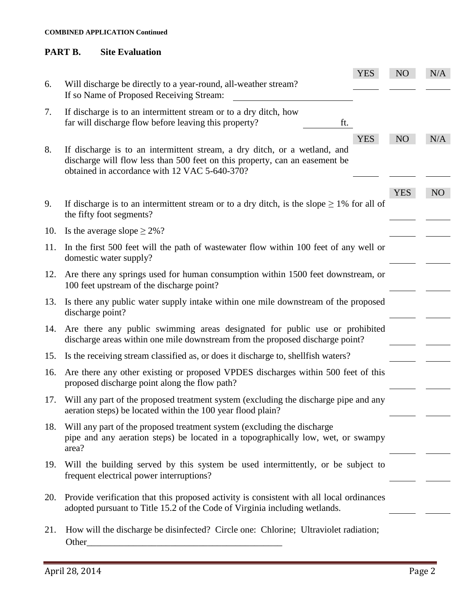### **COMBINED APPLICATION Continued**

## **PART B. Site Evaluation**

|     |                                                                                                                                                                                                           | <b>YES</b> | NO         | N/A             |
|-----|-----------------------------------------------------------------------------------------------------------------------------------------------------------------------------------------------------------|------------|------------|-----------------|
| 6.  | Will discharge be directly to a year-round, all-weather stream?<br>If so Name of Proposed Receiving Stream:                                                                                               |            |            |                 |
| 7.  | If discharge is to an intermittent stream or to a dry ditch, how<br>far will discharge flow before leaving this property?<br>ft.                                                                          |            |            |                 |
| 8.  | If discharge is to an intermittent stream, a dry ditch, or a wetland, and<br>discharge will flow less than 500 feet on this property, can an easement be<br>obtained in accordance with 12 VAC 5-640-370? | <b>YES</b> | NO         | N/A             |
|     |                                                                                                                                                                                                           |            | <b>YES</b> | NO <sub>1</sub> |
| 9.  | If discharge is to an intermittent stream or to a dry ditch, is the slope $\geq 1\%$ for all of<br>the fifty foot segments?                                                                               |            |            |                 |
| 10. | Is the average slope $\geq$ 2%?                                                                                                                                                                           |            |            |                 |
| 11. | In the first 500 feet will the path of wastewater flow within 100 feet of any well or<br>domestic water supply?                                                                                           |            |            |                 |
| 12. | Are there any springs used for human consumption within 1500 feet downstream, or<br>100 feet upstream of the discharge point?                                                                             |            |            |                 |
| 13. | Is there any public water supply intake within one mile downstream of the proposed<br>discharge point?                                                                                                    |            |            |                 |
|     | 14. Are there any public swimming areas designated for public use or prohibited<br>discharge areas within one mile downstream from the proposed discharge point?                                          |            |            |                 |
| 15. | Is the receiving stream classified as, or does it discharge to, shell fish waters?                                                                                                                        |            |            |                 |
| 16. | Are there any other existing or proposed VPDES discharges within 500 feet of this<br>proposed discharge point along the flow path?                                                                        |            |            |                 |
| 17. | Will any part of the proposed treatment system (excluding the discharge pipe and any<br>aeration steps) be located within the 100 year flood plain?                                                       |            |            |                 |
| 18. | Will any part of the proposed treatment system (excluding the discharge<br>pipe and any aeration steps) be located in a topographically low, wet, or swampy<br>area?                                      |            |            |                 |
| 19. | Will the building served by this system be used intermittently, or be subject to<br>frequent electrical power interruptions?                                                                              |            |            |                 |
| 20. | Provide verification that this proposed activity is consistent with all local ordinances<br>adopted pursuant to Title 15.2 of the Code of Virginia including wetlands.                                    |            |            |                 |
| 21. | How will the discharge be disinfected? Circle one: Chlorine; Ultraviolet radiation;<br>Other                                                                                                              |            |            |                 |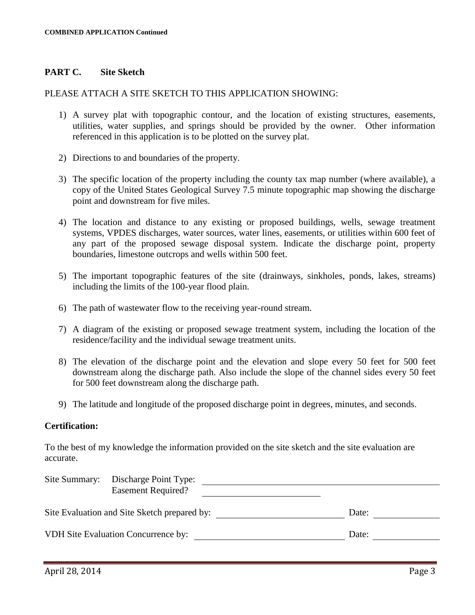## **PART C. Site Sketch**

### PLEASE ATTACH A SITE SKETCH TO THIS APPLICATION SHOWING:

- 1) A survey plat with topographic contour, and the location of existing structures, easements, utilities, water supplies, and springs should be provided by the owner. Other information referenced in this application is to be plotted on the survey plat.
- 2) Directions to and boundaries of the property.
- 3) The specific location of the property including the county tax map number (where available), a copy of the United States Geological Survey 7.5 minute topographic map showing the discharge point and downstream for five miles.
- 4) The location and distance to any existing or proposed buildings, wells, sewage treatment systems, VPDES discharges, water sources, water lines, easements, or utilities within 600 feet of any part of the proposed sewage disposal system. Indicate the discharge point, property boundaries, limestone outcrops and wells within 500 feet.
- 5) The important topographic features of the site (drainways, sinkholes, ponds, lakes, streams) including the limits of the 100-year flood plain.
- 6) The path of wastewater flow to the receiving year-round stream.
- 7) A diagram of the existing or proposed sewage treatment system, including the location of the residence/facility and the individual sewage treatment units.
- 8) The elevation of the discharge point and the elevation and slope every 50 feet for 500 feet downstream along the discharge path. Also include the slope of the channel sides every 50 feet for 500 feet downstream along the discharge path.
- 9) The latitude and longitude of the proposed discharge point in degrees, minutes, and seconds.

### **Certification:**

To the best of my knowledge the information provided on the site sketch and the site evaluation are accurate.

| Site Summary: Discharge Point Type:          |       |  |
|----------------------------------------------|-------|--|
| <b>Easement Required?</b>                    |       |  |
| Site Evaluation and Site Sketch prepared by: | Date: |  |
| VDH Site Evaluation Concurrence by:          | Date: |  |